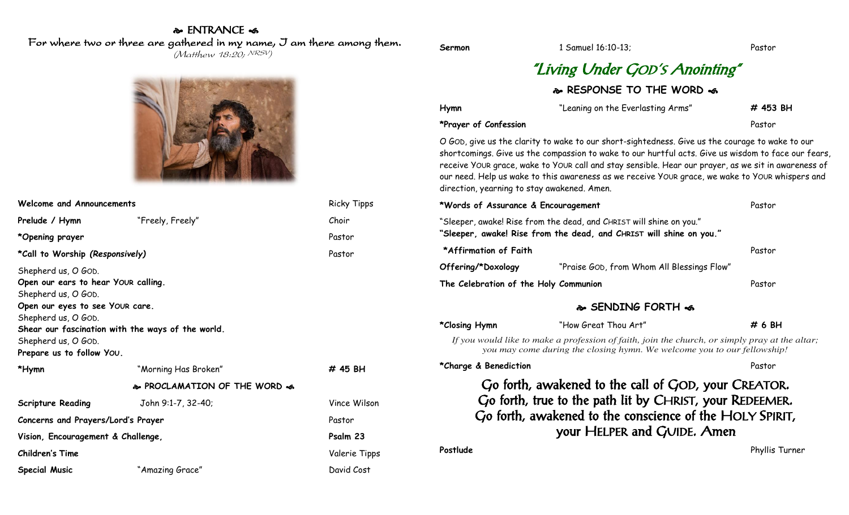## & ENTRANCE < For where two or three are gathered in my name, I am there among them.

(Matthew 18:20; NRSV)



| Welcome and Announcements                                                                                                                                                                                                                            |                              | <b>Ricky Tipps</b> |
|------------------------------------------------------------------------------------------------------------------------------------------------------------------------------------------------------------------------------------------------------|------------------------------|--------------------|
| Prelude / Hymn                                                                                                                                                                                                                                       | "Freely, Freely"             | Choir              |
| *Opening prayer                                                                                                                                                                                                                                      |                              | Pastor             |
| *Call to Worship (Responsively)                                                                                                                                                                                                                      |                              | Pastor             |
| Shepherd us, O GOD.<br>Open our ears to hear YOUR calling.<br>Shepherd us, O GOD.<br>Open our eyes to see YOUR care.<br>Shepherd us, O GOD.<br>Shear our fascination with the ways of the world.<br>Shepherd us, O GOD.<br>Prepare us to follow You. |                              |                    |
| *Hymn                                                                                                                                                                                                                                                | "Morning Has Broken"         | $\#$ 45 BH         |
|                                                                                                                                                                                                                                                      | & PROCLAMATION OF THE WORD & |                    |
| <b>Scripture Reading</b>                                                                                                                                                                                                                             | John 9:1-7, 32-40;           | Vince Wilson       |
| Concerns and Prayers/Lord's Prayer                                                                                                                                                                                                                   |                              | Pastor             |
| Vision, Encouragement & Challenge,                                                                                                                                                                                                                   |                              | Psalm 23           |
| <b>Children's Time</b>                                                                                                                                                                                                                               |                              | Valerie Tipps      |
| <b>Special Music</b>                                                                                                                                                                                                                                 | "Amazing Grace"              | David Cost         |

| Sermon                                      | 1 Samuel 16:10-13;                                                                                                                                                                                                                                                                                                                                                                                               | Pastor         |
|---------------------------------------------|------------------------------------------------------------------------------------------------------------------------------------------------------------------------------------------------------------------------------------------------------------------------------------------------------------------------------------------------------------------------------------------------------------------|----------------|
|                                             | "Living Under GOD's Anointing"                                                                                                                                                                                                                                                                                                                                                                                   |                |
|                                             | & RESPONSE TO THE WORD &                                                                                                                                                                                                                                                                                                                                                                                         |                |
| Hymn                                        | "Leaning on the Everlasting Arms"                                                                                                                                                                                                                                                                                                                                                                                | # 453 BH       |
| *Prayer of Confession                       |                                                                                                                                                                                                                                                                                                                                                                                                                  | Pastor         |
| direction, yearning to stay awakened. Amen. | O GOD, give us the clarity to wake to our short-sightedness. Give us the courage to wake to our<br>shortcomings. Give us the compassion to wake to our hurtful acts. Give us wisdom to face our fears,<br>receive YOUR grace, wake to YOUR call and stay sensible. Hear our prayer, as we sit in awareness of<br>our need. Help us wake to this awareness as we receive YOUR grace, we wake to YOUR whispers and |                |
| *Words of Assurance & Encouragement         |                                                                                                                                                                                                                                                                                                                                                                                                                  | Pastor         |
|                                             | "Sleeper, awake! Rise from the dead, and CHRIST will shine on you."<br>"Sleeper, awake! Rise from the dead, and CHRIST will shine on you."                                                                                                                                                                                                                                                                       |                |
| *Affirmation of Faith                       |                                                                                                                                                                                                                                                                                                                                                                                                                  | Pastor         |
| Offering/*Doxology                          | "Praise GOD, from Whom All Blessings Flow"                                                                                                                                                                                                                                                                                                                                                                       |                |
| The Celebration of the Holy Communion       |                                                                                                                                                                                                                                                                                                                                                                                                                  | Pastor         |
|                                             | � SENDING FORTH <6                                                                                                                                                                                                                                                                                                                                                                                               |                |
| *Closing Hymn                               | "How Great Thou Art"                                                                                                                                                                                                                                                                                                                                                                                             | #6 BH          |
|                                             | If you would like to make a profession of faith, join the church, or simply pray at the altar;<br>you may come during the closing hymn. We welcome you to our fellowship!                                                                                                                                                                                                                                        |                |
| *Charge & Benediction                       |                                                                                                                                                                                                                                                                                                                                                                                                                  | Pastor         |
|                                             | Go forth, awakened to the call of GOD, your CREATOR.<br>Go forth, true to the path lit by CHRIST, your REDEEMER.<br>Go forth, awakened to the conscience of the HOLY SPIRIT,<br>your HELPER and GUIDE. Amen                                                                                                                                                                                                      |                |
| Postlude                                    |                                                                                                                                                                                                                                                                                                                                                                                                                  | Phyllis Turner |